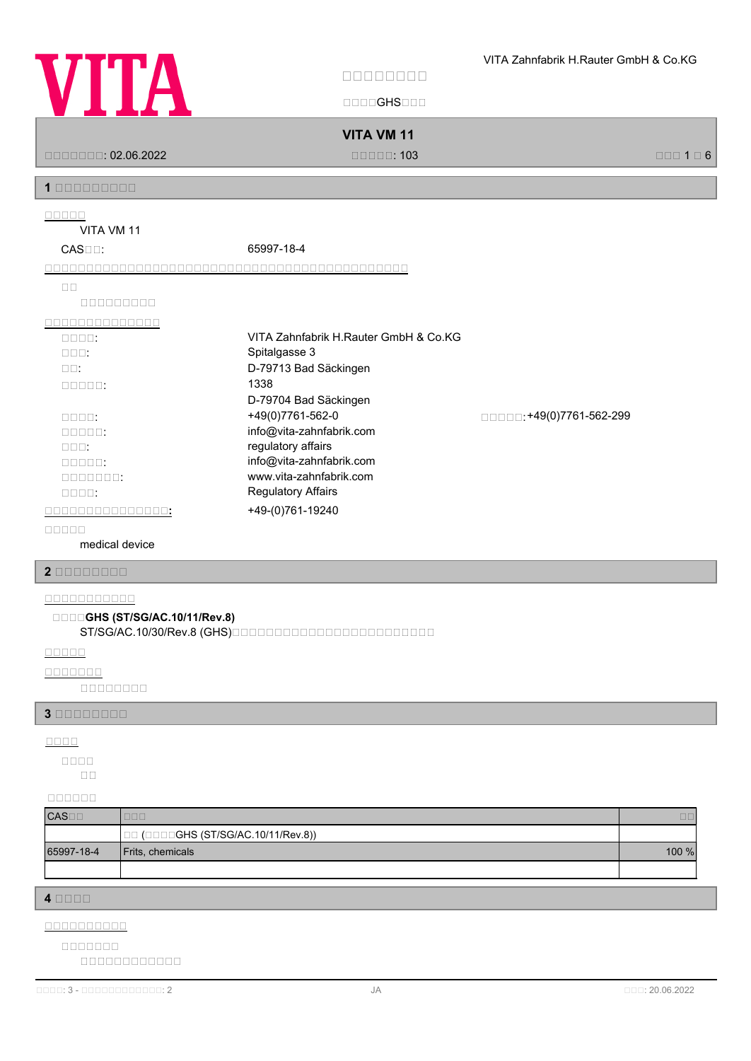

国国国国GHS国国国

**VITA VM 11**

国国国国国国国: 02.06.2022 国国国国国: 103 国国国 1 国 6

**1 安安安安安安安安安**

**安安安安安**

VITA VM 11

| $CAS \Box \Box$ :              | 65997-18-4                            |                         |
|--------------------------------|---------------------------------------|-------------------------|
|                                |                                       |                         |
| $\Box$                         |                                       |                         |
| 000000000                      |                                       |                         |
|                                |                                       |                         |
| $\square\square\square\square$ | VITA Zahnfabrik H.Rauter GmbH & Co.KG |                         |
| $\Box \Box \Box$               | Spitalgasse 3                         |                         |
| $\Box$ $\Box$                  | D-79713 Bad Säckingen                 |                         |
| $\Box\Box\Box\Box\Box$         | 1338                                  |                         |
|                                | D-79704 Bad Säckingen                 |                         |
| $\Box \Box \Box \Box$          | +49(0)7761-562-0                      | □□□□:+49(0)7761-562-299 |
| $\Box \Box \Box \Box \Box$     | info@vita-zahnfabrik.com              |                         |
| nnn:                           | regulatory affairs                    |                         |
| nnnn:                          | info@vita-zahnfabrik.com              |                         |
| 0000000:                       | www.vita-zahnfabrik.com               |                         |
| $\Box \Box \Box \Box$          | <b>Regulatory Affairs</b>             |                         |
|                                | +49-(0)761-19240                      |                         |
|                                |                                       |                         |

**安安安安安**

medical device

**2 安安安安安安安安**

# **安安安安安安安安安安安**

**安安安安GHS (ST/SG/AC.10/11/Rev.8)**

ST/SG/AC.10/30/Rev.8 (GHS) **DOODDDOODDDOODDOODDOOD** 

**安安安安安**

**安安安安安安安**

国国国国国国国国

**3 安安安安安安安安**

**安安安安**

国国 **安安安安**

**安安安安安安**

| $CAS \Box$ | ---                                 |        |
|------------|-------------------------------------|--------|
|            | □□ (□□□□GHS (ST/SG/AC.10/11/Rev.8)) |        |
| 65997-18-4 | <b>Frits, chemicals</b>             | 100 %l |
|            |                                     |        |

**4 安安安安**

**安安安安安安安安安安**

国国国国国国国国国国国国 **安安安安安安安**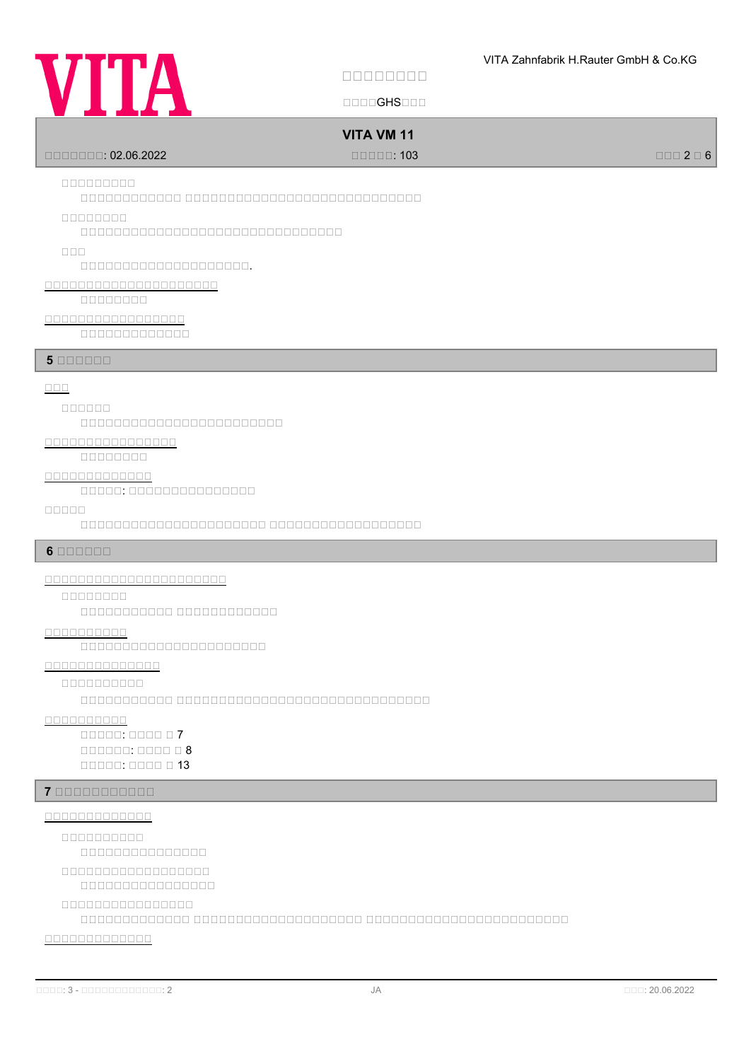

国国国国GHS国国国

# **VITA VM 11**

国国国国国国国: 02.06.2022 国国国国国: 103 国国国 2 国 6

# **安安安安安安安安安**

 $\Box$ Dalaadadada adaadadadadaadaadaadaadaa ah

### **安安安安安安安安**

国国国国国国国国国国国国国国国国国国国国国国国国国国国国国国国

### **安安安**

国国国国国国国国国国国国国国国国国国国国.

# **安安安安安安安安安安安安安安安安安安安安安**

国国国国国国国国

# **安安安安安安安安安安安安安安安安安**

国国国国国国国国国国国国国

# **5 BBBBBB**

# **安安安**

### **安安安安安安**

国国国国国国国国国国国国国国国国国国国国国国国国

# **安安安安安安安安安安安安安安安安**

国国国国国国国国

### **安安安安安安安安安安安安安**

国国国国国: 国国国国国国国国国国国国国国国

### **安安安安安**

国国国国国国国国国国国国国国国国国国国国国国 国国国国国国国国国国国国国国国国国国

# **6 安安安安安安**

**安安安安安安安安安安安安安安安安安安安安安安**

# **安安安安安安安安**

国国国国国国国国国国国 国国国国国国国国国国国国

# **安安安安安安安安安安**

国国国国国国国国国国国国国国国国国国国国国国

# **安安安安安安安安安安安安安安**

**安安安安安安安安安安**

国国国国国国国国国国国 国国国国国国国国国国国国国国国国国国国国国国国国国国国国国国

# **安安安安安安安安安安**

国国国国国: 国国国国 国 7  $\Box$ 国国国国国: 国国国国 国 13

# **7 安安安安安安安安安安安**

### **安安安安安安安安安安安安安**

**安安安安安安安安安安**

国国国国国国国国国国国国国国国

**安安安安安安安安安安安安安安安安安安**

国国国国国国国国国国国国国国国国

# **安安安安安安安安安安安安安安安安**

国国国国国国国国国国国国国 国国国国国国国国国国国国国国国国国国国国 国国国国国国国国国国国国国国国国国国国国国国国国

# **安安安安安安安安安安安安安**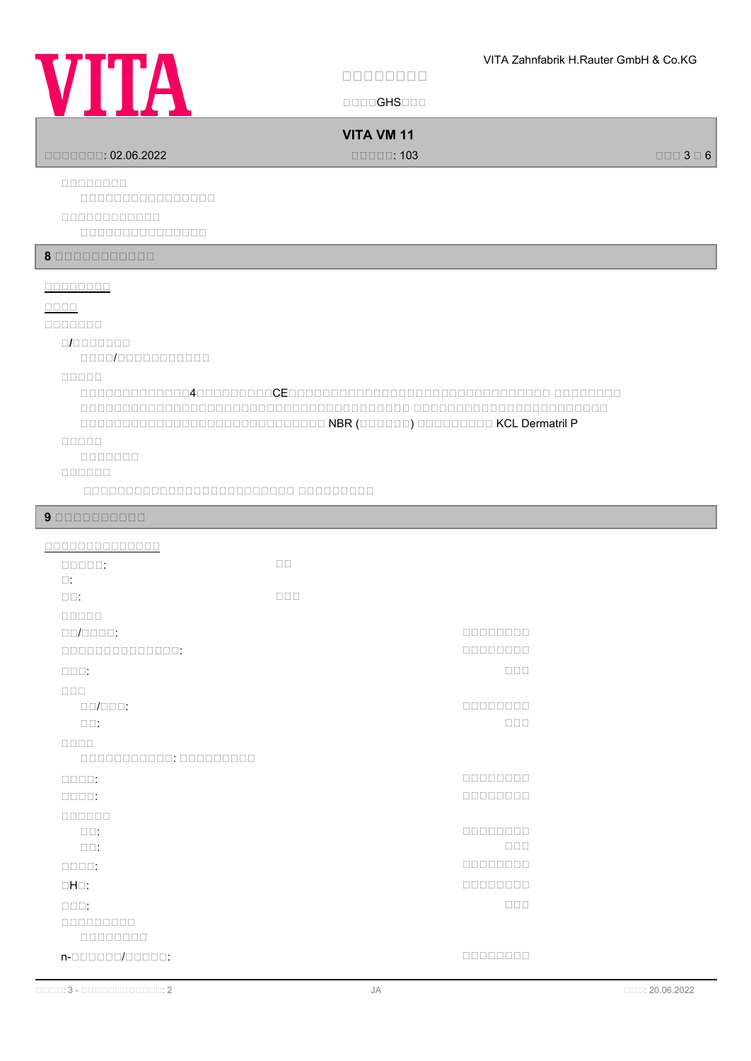

| VIITI                                                                                                          | $\Box$ $\Box$ $\Box$ GHS $\Box$ $\Box$ $\Box$       |                             |
|----------------------------------------------------------------------------------------------------------------|-----------------------------------------------------|-----------------------------|
|                                                                                                                | <b>VITA VM 11</b><br>$\Box \Box \Box \Box \Box$ 103 | $\Box \Box \Box$ 3 $\Box$ 6 |
| 00000000<br>000000000000000<br>00000000000<br>000000000000000                                                  |                                                     |                             |
| 8 00000000000                                                                                                  |                                                     |                             |
| 00000000<br>$\Box \Box \Box \Box$<br>0000000<br>nnn/nnnnnnnnnn<br>00000<br><b>OBBOD</b><br>0000000<br>000000   |                                                     |                             |
| 90000000000                                                                                                    |                                                     |                             |
| 00000000000000<br>$\Box\Box\Box\Box\Box\,.$<br>$\square$ :<br>$\square\square$ :                               | $\square \, \square$<br>$\Box$                      |                             |
| $\Box \Box / \Box \Box \Box \Box$<br>00000000000000:<br>$\Box \Box \Box$ :                                     | 00000000<br>00000000<br>$\Box$                      |                             |
| $\Box$ $\Box$<br>$\Box\Box/\Box\Box\Box:$<br>$\square\square$<br>$\Box\Box\Box\Box$<br>000000000000: 000000000 | 00000000<br>$\Box$                                  |                             |
| $\Box \Box \Box \Box$<br>$\Box\Box\Box\Box\,.$<br>000000                                                       | 00000000<br>00000000                                |                             |
| $\square \square$ :<br>$\square$<br>$\Box\Box\Box\Box:$                                                        | 00000000<br>$\Box$<br>00000000<br>00000000          |                             |
| $\Box H \Box$ :<br>$\Box$ $\Box$ $\Box$ :<br>000000000<br>00000000                                             | $\Box$                                              |                             |
| n-000000/00000:                                                                                                | 00000000                                            |                             |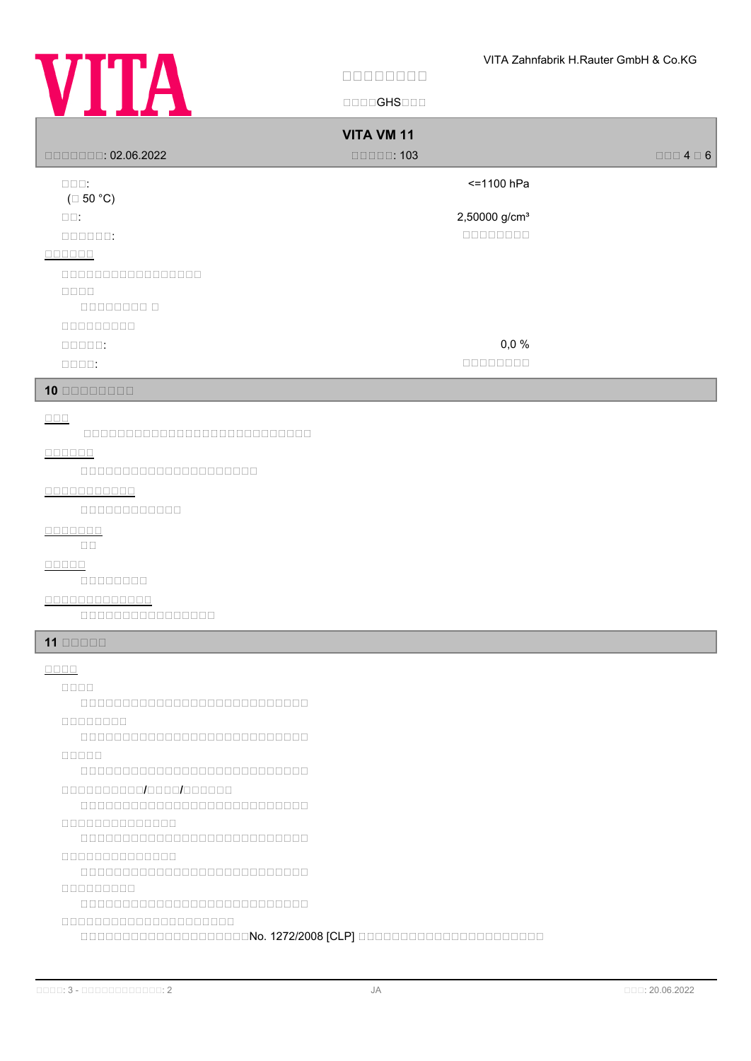

 $\Box$ 

| 222 D                                                                                                                                                                                                                                                                                    | UUUUU IVUUU                                                          |                          |
|------------------------------------------------------------------------------------------------------------------------------------------------------------------------------------------------------------------------------------------------------------------------------------------|----------------------------------------------------------------------|--------------------------|
|                                                                                                                                                                                                                                                                                          | <b>VITA VM 11</b><br>$\square \square \square \square \square$ : 103 | $\Box$ $\Box$ 4 $\Box$ 6 |
| $\Box\Box\Box$<br>$(\Box 50 °C)$                                                                                                                                                                                                                                                         | <= 1100 hPa                                                          |                          |
| $\square \, \square$ :<br>$\Box \Box \Box \Box \Box \Box$                                                                                                                                                                                                                                | 2,50000 g/cm <sup>3</sup>                                            |                          |
| 0000000<br>00000000000000000                                                                                                                                                                                                                                                             |                                                                      |                          |
| $\Box\Box\Box\Box$                                                                                                                                                                                                                                                                       |                                                                      |                          |
| $0000000000$<br>$\Box \Box \Box \Box \Box$                                                                                                                                                                                                                                               | 0,0%                                                                 |                          |
| $\Box \Box \Box \Box$ :<br>$10$ 00000000                                                                                                                                                                                                                                                 | 00000000                                                             |                          |
|                                                                                                                                                                                                                                                                                          |                                                                      |                          |
| $\Box$<br>00000000000000000000000000                                                                                                                                                                                                                                                     |                                                                      |                          |
| $\begin{array}{c} \square \, \square \, \square \, \square \, \square \, \square \end{array}$<br>00000000000000000000                                                                                                                                                                    |                                                                      |                          |
| 00000000000<br>$00000000000000$                                                                                                                                                                                                                                                          |                                                                      |                          |
| $\begin{array}{c} \textcolor{red}{\textbf{1}} \textcolor{red}{\textbf{1}} \textcolor{red}{\textbf{1}} \textcolor{red}{\textbf{1}} \textcolor{red}{\textbf{1}} \textcolor{red}{\textbf{1}} \textcolor{red}{\textbf{1}} \textcolor{red}{\textbf{1}} \end{array}$<br>$\square$<br>$\square$ |                                                                      |                          |
| <b>OOOOO</b><br>00000000                                                                                                                                                                                                                                                                 |                                                                      |                          |
| 0000000000000<br>000000000000000                                                                                                                                                                                                                                                         |                                                                      |                          |
| $11$ $\Box$ $\Box$ $\Box$                                                                                                                                                                                                                                                                |                                                                      |                          |
| $\Box\,\Box\,\Box\,\Box$<br>OOOO                                                                                                                                                                                                                                                         |                                                                      |                          |
| 000000000000000000000000000<br>00000000                                                                                                                                                                                                                                                  |                                                                      |                          |
| 00000                                                                                                                                                                                                                                                                                    |                                                                      |                          |
| 000000000000000000000000000<br>0000000000000000000000                                                                                                                                                                                                                                    |                                                                      |                          |
|                                                                                                                                                                                                                                                                                          |                                                                      |                          |
| 0000000000000<br>0000000000000                                                                                                                                                                                                                                                           |                                                                      |                          |
| 000000000000000000000000000<br>a de de de de                                                                                                                                                                                                                                             |                                                                      |                          |
| 00000000000000000000                                                                                                                                                                                                                                                                     |                                                                      |                          |
|                                                                                                                                                                                                                                                                                          |                                                                      |                          |
|                                                                                                                                                                                                                                                                                          |                                                                      |                          |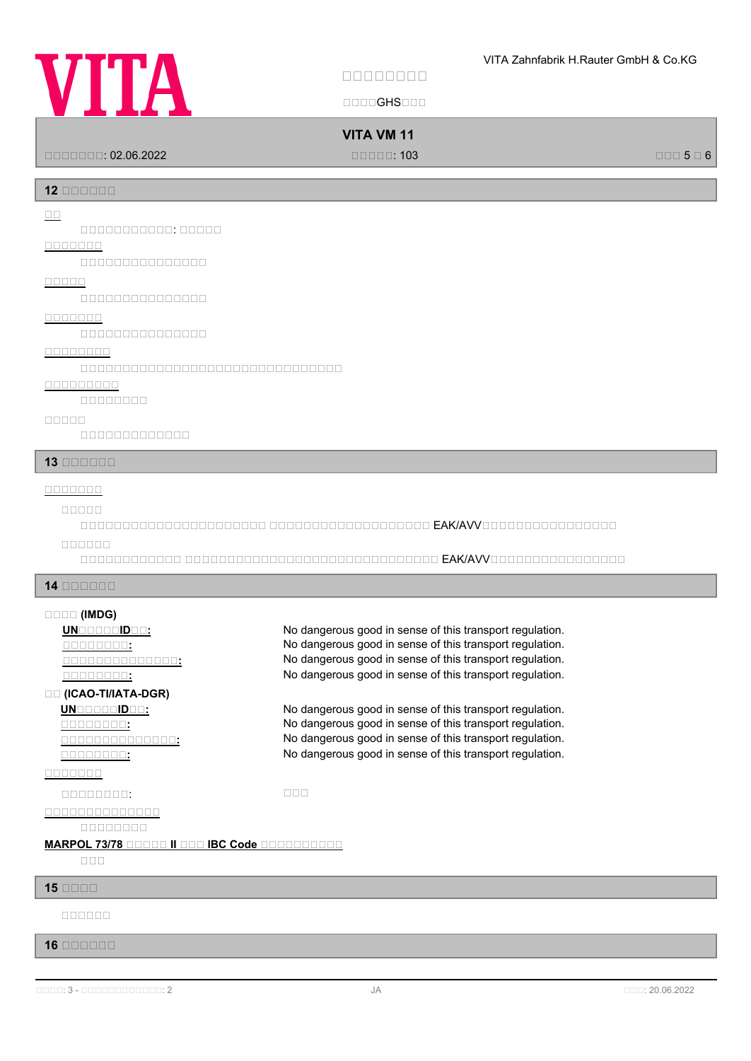# **VITA**

**安安安安安安安安**

国国国国GHS国国国

# **VITA VM 11**

国国国国国国国: 02.06.2022 国国国国国: 103 国国国 5 国 6

**12 安安安安安安**

**安安**

国国国国国国国国国国国: 国国国国国

# **安安安安安安安**

国国国国国国国国国国国国国国国

# **安安安安安**

国国国国国国国国国国国国国国国

# **安安安安安安安**

国国国国国国国国国国国国国国国

# **安安安安安安安安**

国国国国国国国国国国国国国国国国国国国国国国国国国国国国国国国

### **安安安安安安安安安**

国国国国国国国国

### **安安安安安**

国国国国国国国国国国国国国

### **13 安安安安安安**

# **安安安安安安安**

# **安安安安安**

国国国国国国国国国国国国国国国国国国国国国国 国国国国国国国国国国国国国国国国国国国 EAK/AVV国国国国国国国国国国国国国国国国 **安安安安安安**

国国国国国国国国国国国国 国国国国国国国国国国国国国国国国国国国国国国国国国国国国国国 EAK/AVV国国国国国国国国国国国国国国国国

### **14 安安安安安安**

# **安安安安 (IMDG)**

**UNGGGGBDGG:** No dangerous good in sense of this transport regulation. **<u><b>COLOGEST:**</u> THE SECTION SERVICES SERVICES SERVICES: No dangerous good in sense of this transport regulation. **安安安安安安安安安安安安安安:** No dangerous good in sense of this transport regulation. **THE SEXT SEXTEEN SERVING SERVING SERVING SERVING SERVING SERVIS SERVIS SERVIS SERVIS SERVIS SERVIS SERVIS SERVIS 安安 (ICAO-TI/IATA-DGR) UN**BERTHENDEN: No dangerous good in sense of this transport regulation. **<u>CONCOLO COST</u>:</u><br>
So dangerous good in sense of this transport regulation.**<br>
No dangerous good in sense of this transport regulation.

**THE SEXT SEXTEEN SERVING SERVING SERVING SERVING SERVING SERVIS SERVIS SERVIS SERVIS SERVIS SERVIS SERVIS SERVIS** 

# **安安安安安安安**

国国国国国国国国: 国国国

# **安安安安安安安安安安安安安安**

国国国国国国国国

# **MARPOL 73/78 BOODD II BOO IBC Code BOODDDDDDD**

国国国

# **15 安安安安**

**安安安安安安**

# **16 安安安安安安**

**安安安安安安安安安安安安安安:** No dangerous good in sense of this transport regulation.